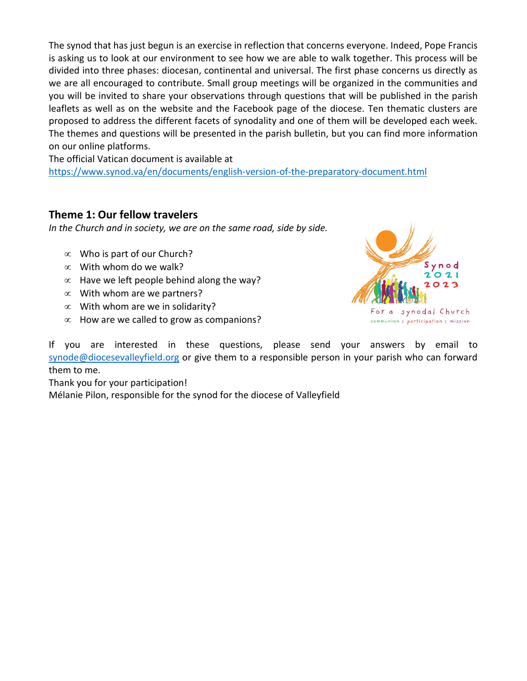The synod that has just begun is an exercise in reflection that concerns everyone. Indeed, Pope Francis is asking us to look at our environment to see how we are able to walk together. This process will be divided into three phases: diocesan, continental and universal. The first phase concerns us directly as we are all encouraged to contribute. Small group meetings will be organized in the communities and you will be invited to share your observations through questions that will be published in the parish leaflets as well as on the website and the Facebook page of the diocese. Ten thematic clusters are proposed to address the different facets of synodality and one of them will be developed each week. The themes and questions will be presented in the parish bulletin, but you can find more information on our online platforms.

The official Vatican document is available at <https://www.synod.va/en/documents/english-version-of-the-preparatory-document.html>

#### **Theme 1: Our fellow travelers**

*In the Church and in society, we are on the same road, side by side.*

- $\infty$  Who is part of our Church?
- $\infty$  With whom do we walk?
- $\infty$  Have we left people behind along the way?
- $\infty$  With whom are we partners?
- $\infty$  With whom are we in solidarity?
- $\infty$  How are we called to grow as companions?



If you are interested in these questions, please send your answers by email to [synode@diocesevalleyfield.org](mailto:synode@diocesevalleyfield.org) or give them to a responsible person in your parish who can forward them to me.

Thank you for your participation!

Mélanie Pilon, responsible for the synod for the diocese of Valleyfield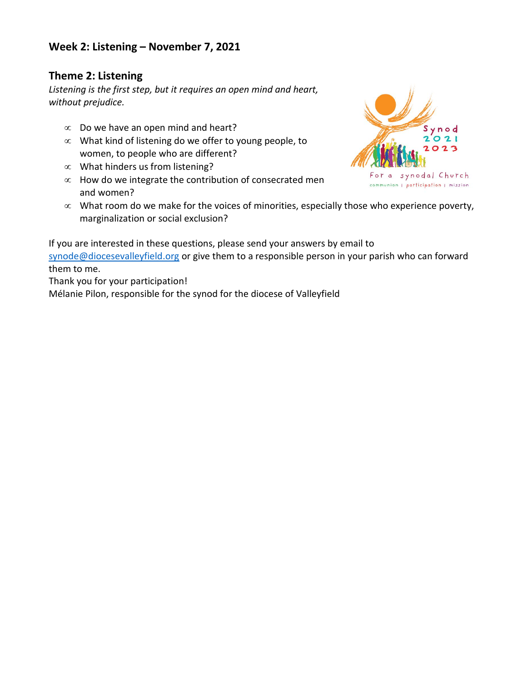## **Week 2: Listening – November 7, 2021**

## **Theme 2: Listening**

*Listening is the first step, but it requires an open mind and heart, without prejudice.*

- $\infty$  Do we have an open mind and heart?
- $\infty$  What kind of listening do we offer to young people, to women, to people who are different?
- $\infty$  What hinders us from listening?
- $\infty$  How do we integrate the contribution of consecrated men and women?



 $\infty$  What room do we make for the voices of minorities, especially those who experience poverty, marginalization or social exclusion?

If you are interested in these questions, please send your answers by email to [synode@diocesevalleyfield.org](mailto:synode@diocesevalleyfield.org) or give them to a responsible person in your parish who can forward them to me.

Thank you for your participation!

Mélanie Pilon, responsible for the synod for the diocese of Valleyfield